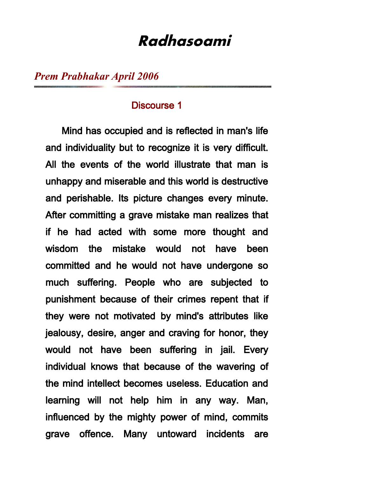# **Radhasoami**

*Prem Prabhakar April 2006*

### Discourse 1

 Mind has occupied and is reflected in man's life and individuality but to recognize it is very difficult. All the events of the world illustrate that man is unhappy and miserable and this world is destructive and perishable. Its picture changes every minute. After committing a grave mistake man realizes that if he had acted with some more thought and wisdom the mistake would not have been committed and he would not have undergone so much suffering. People who are subjected to punishment because of their crimes repent that if they were not motivated by mind's attributes like jealousy, desire, anger and craving for honor, they would not have been suffering in jail. Every individual knows that because of the wavering of the mind intellect becomes useless. Education and learning will not help him in any way. Man, influenced by the mighty power of mind, commits grave offence. Many untoward incidents are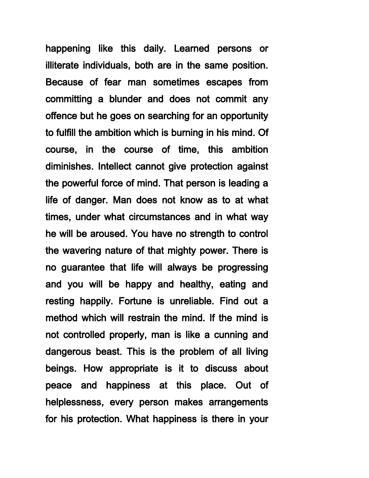happening like this daily. Learned persons or illiterate individuals, both are in the same position. Because of fear man sometimes escapes from committing a blunder and does not commit any offence but he goes on searching for an opportunity to fulfill the ambition which is burning in his mind. Of course, in the course of time, this ambition diminishes. Intellect cannot give protection against the powerful force of mind. That person is leading a life of danger. Man does not know as to at what times, under what circumstances and in what way he will be aroused. You have no strength to control the wavering nature of that mighty power. There is no guarantee that life will always be progressing and you will be happy and healthy, eating and resting happily. Fortune is unreliable. Find out a method which will restrain the mind. If the mind is not controlled properly, man is like a cunning and dangerous beast. This is the problem of all living beings. How appropriate is it to discuss about peace and happiness at this place. Out of helplessness, every person makes arrangements for his protection. What happiness is there in your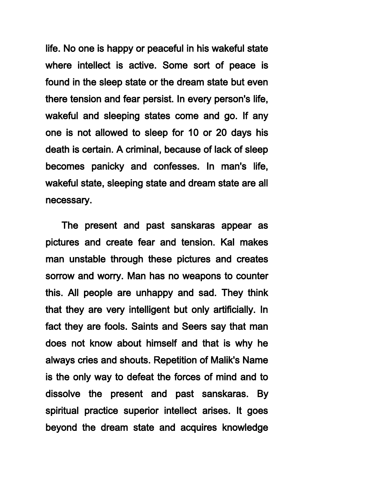life. No one is happy or peaceful in his wakeful state where intellect is active. Some sort of peace is found in the sleep state or the dream state but even there tension and fear persist. In every person's life, wakeful and sleeping states come and go. If any one is not allowed to sleep for 10 or 20 days his death is certain. A criminal, because of lack of sleep becomes panicky and confesses. In man's life, wakeful state, sleeping state and dream state are all necessary.

 The present and past sanskaras appear as pictures and create fear and tension. Kal makes man unstable through these pictures and creates sorrow and worry. Man has no weapons to counter this. All people are unhappy and sad. They think that they are very intelligent but only artificially. In fact they are fools. Saints and Seers say that man does not know about himself and that is why he always cries and shouts. Repetition of Malik's Name is the only way to defeat the forces of mind and to dissolve the present and past sanskaras. By spiritual practice superior intellect arises. It goes beyond the dream state and acquires knowledge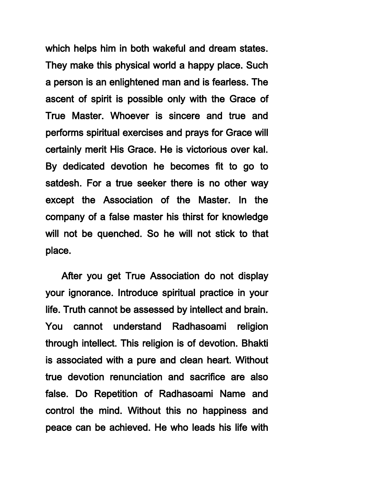which helps him in both wakeful and dream states. They make this physical world a happy place. Such a person is an enlightened man and is fearless. The ascent of spirit is possible only with the Grace of True Master. Whoever is sincere and true and performs spiritual exercises and prays for Grace will certainly merit His Grace. He is victorious over kal. By dedicated devotion he becomes fit to go to satdesh. For a true seeker there is no other way except the Association of the Master. In the company of a false master his thirst for knowledge will not be quenched. So he will not stick to that place.

 After you get True Association do not display your ignorance. Introduce spiritual practice in your life. Truth cannot be assessed by intellect and brain. You cannot understand Radhasoami religion through intellect. This religion is of devotion. Bhakti is associated with a pure and clean heart. Without true devotion renunciation and sacrifice are also false. Do Repetition of Radhasoami Name and control the mind. Without this no happiness and peace can be achieved. He who leads his life with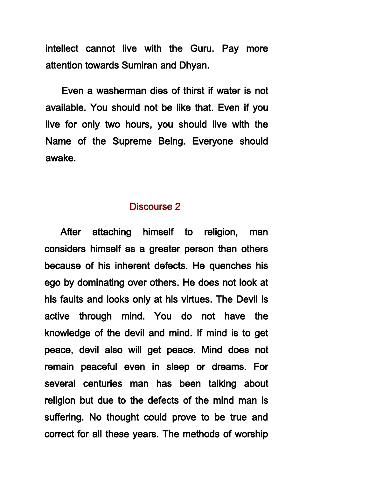intellect cannot live with the Guru. Pay more attention towards Sumiran and Dhyan.

 Even a washerman dies of thirst if water is not available. You should not be like that. Even if you live for only two hours, you should live with the Name of the Supreme Being. Everyone should awake.

### Discourse 2

 After attaching himself to religion, man considers himself as a greater person than others because of his inherent defects. He quenches his ego by dominating over others. He does not look at his faults and looks only at his virtues. The Devil is active through mind. You do not have the knowledge of the devil and mind. If mind is to get peace, devil also will get peace. Mind does not remain peaceful even in sleep or dreams. For several centuries man has been talking about religion but due to the defects of the mind man is suffering. No thought could prove to be true and correct for all these years. The methods of worship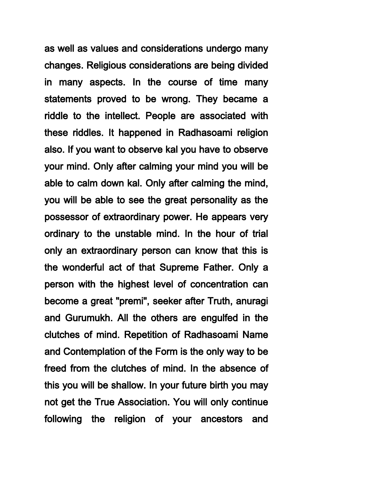as well as values and considerations undergo many changes. Religious considerations are being divided in many aspects. In the course of time many statements proved to be wrong. They became a riddle to the intellect. People are associated with these riddles. It happened in Radhasoami religion also. If you want to observe kal you have to observe your mind. Only after calming your mind you will be able to calm down kal. Only after calming the mind, you will be able to see the great personality as the possessor of extraordinary power. He appears very ordinary to the unstable mind. In the hour of trial only an extraordinary person can know that this is the wonderful act of that Supreme Father. Only a person with the highest level of concentration can become a great "premi", seeker after Truth, anuragi and Gurumukh. All the others are engulfed in the clutches of mind. Repetition of Radhasoami Name and Contemplation of the Form is the only way to be freed from the clutches of mind. In the absence of this you will be shallow. In your future birth you may not get the True Association. You will only continue following the religion of your ancestors and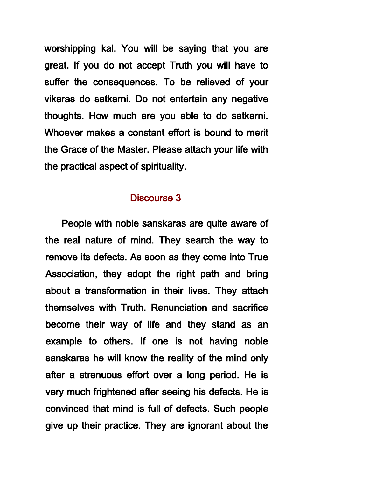worshipping kal. You will be saying that you are great. If you do not accept Truth you will have to suffer the consequences. To be relieved of your vikaras do satkarni. Do not entertain any negative thoughts. How much are you able to do satkarni. Whoever makes a constant effort is bound to merit the Grace of the Master. Please attach your life with the practical aspect of spirituality.

# Discourse 3

 People with noble sanskaras are quite aware of the real nature of mind. They search the way to remove its defects. As soon as they come into True Association, they adopt the right path and bring about a transformation in their lives. They attach themselves with Truth. Renunciation and sacrifice become their way of life and they stand as an example to others. If one is not having noble sanskaras he will know the reality of the mind only after a strenuous effort over a long period. He is very much frightened after seeing his defects. He is convinced that mind is full of defects. Such people give up their practice. They are ignorant about the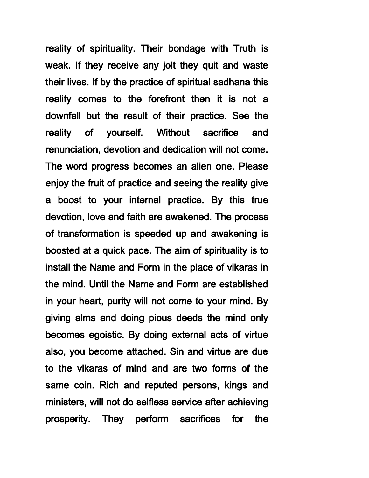reality of spirituality. Their bondage with Truth is weak. If they receive any jolt they quit and waste their lives. If by the practice of spiritual sadhana this reality comes to the forefront then it is not a downfall but the result of their practice. See the reality of yourself. Without sacrifice and renunciation, devotion and dedication will not come. The word progress becomes an alien one. Please enjoy the fruit of practice and seeing the reality give a boost to your internal practice. By this true devotion, love and faith are awakened. The process of transformation is speeded up and awakening is boosted at a quick pace. The aim of spirituality is to install the Name and Form in the place of vikaras in the mind. Until the Name and Form are established in your heart, purity will not come to your mind. By giving alms and doing pious deeds the mind only becomes egoistic. By doing external acts of virtue also, you become attached. Sin and virtue are due to the vikaras of mind and are two forms of the same coin. Rich and reputed persons, kings and ministers, will not do selfless service after achieving prosperity. They perform sacrifices for the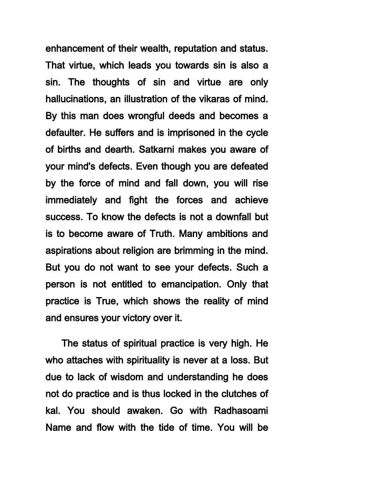enhancement of their wealth, reputation and status. That virtue, which leads you towards sin is also a sin. The thoughts of sin and virtue are only hallucinations, an illustration of the vikaras of mind. By this man does wrongful deeds and becomes a defaulter. He suffers and is imprisoned in the cycle of births and dearth. Satkarni makes you aware of your mind's defects. Even though you are defeated by the force of mind and fall down, you will rise immediately and fight the forces and achieve success. To know the defects is not a downfall but is to become aware of Truth. Many ambitions and aspirations about religion are brimming in the mind. But you do not want to see your defects. Such a person is not entitled to emancipation. Only that practice is True, which shows the reality of mind and ensures your victory over it.

 The status of spiritual practice is very high. He who attaches with spirituality is never at a loss. But due to lack of wisdom and understanding he does not do practice and is thus locked in the clutches of kal. You should awaken. Go with Radhasoami Name and flow with the tide of time. You will be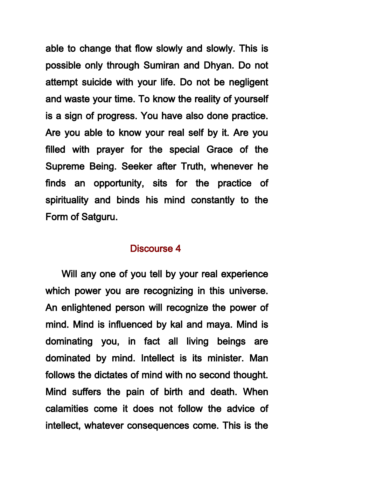able to change that flow slowly and slowly. This is possible only through Sumiran and Dhyan. Do not attempt suicide with your life. Do not be negligent and waste your time. To know the reality of yourself is a sign of progress. You have also done practice. Are you able to know your real self by it. Are you filled with prayer for the special Grace of the Supreme Being. Seeker after Truth, whenever he finds an opportunity, sits for the practice of spirituality and binds his mind constantly to the Form of Satguru.

#### Discourse 4

 Will any one of you tell by your real experience which power you are recognizing in this universe. An enlightened person will recognize the power of mind. Mind is influenced by kal and maya. Mind is dominating you, in fact all living beings are dominated by mind. Intellect is its minister. Man follows the dictates of mind with no second thought. Mind suffers the pain of birth and death. When calamities come it does not follow the advice of intellect, whatever consequences come. This is the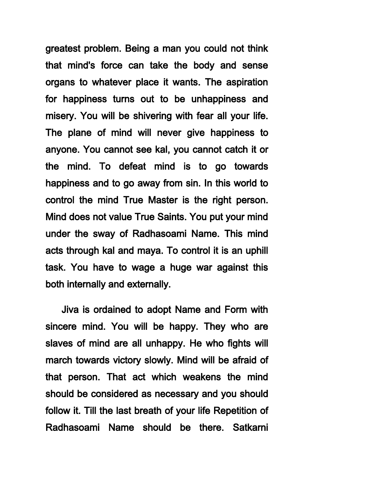greatest problem. Being a man you could not think that mind's force can take the body and sense organs to whatever place it wants. The aspiration for happiness turns out to be unhappiness and misery. You will be shivering with fear all your life. The plane of mind will never give happiness to anyone. You cannot see kal, you cannot catch it or the mind. To defeat mind is to go towards happiness and to go away from sin. In this world to control the mind True Master is the right person. Mind does not value True Saints. You put your mind under the sway of Radhasoami Name. This mind acts through kal and maya. To control it is an uphill task. You have to wage a huge war against this both internally and externally.

 Jiva is ordained to adopt Name and Form with sincere mind. You will be happy. They who are slaves of mind are all unhappy. He who fights will march towards victory slowly. Mind will be afraid of that person. That act which weakens the mind should be considered as necessary and you should follow it. Till the last breath of your life Repetition of Radhasoami Name should be there. Satkarni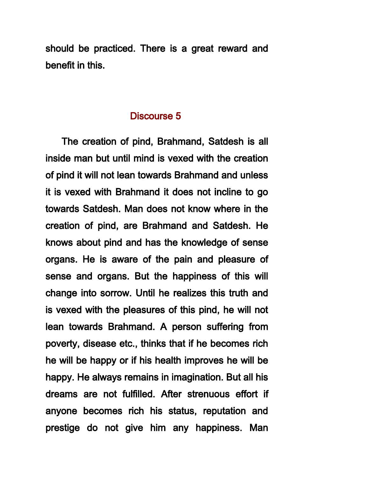should be practiced. There is a great reward and benefit in this.

### Discourse 5

 The creation of pind, Brahmand, Satdesh is all inside man but until mind is vexed with the creation of pind it will not lean towards Brahmand and unless it is vexed with Brahmand it does not incline to go towards Satdesh. Man does not know where in the creation of pind, are Brahmand and Satdesh. He knows about pind and has the knowledge of sense organs. He is aware of the pain and pleasure of sense and organs. But the happiness of this will change into sorrow. Until he realizes this truth and is vexed with the pleasures of this pind, he will not lean towards Brahmand. A person suffering from poverty, disease etc., thinks that if he becomes rich he will be happy or if his health improves he will be happy. He always remains in imagination. But all his dreams are not fulfilled. After strenuous effort if anyone becomes rich his status, reputation and prestige do not give him any happiness. Man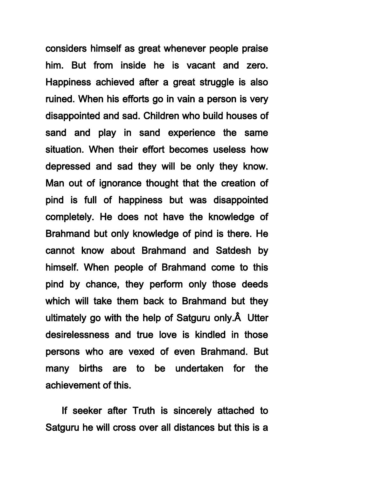considers himself as great whenever people praise him. But from inside he is vacant and zero. Happiness achieved after a great struggle is also ruined. When his efforts go in vain a person is very disappointed and sad. Children who build houses of sand and play in sand experience the same situation. When their effort becomes useless how depressed and sad they will be only they know. Man out of ignorance thought that the creation of pind is full of happiness but was disappointed completely. He does not have the knowledge of Brahmand but only knowledge of pind is there. He cannot know about Brahmand and Satdesh by himself. When people of Brahmand come to this pind by chance, they perform only those deeds which will take them back to Brahmand but they ultimately go with the help of Satguru only. $\hat{A}$  Utter desirelessness and true love is kindled in those persons who are vexed of even Brahmand. But many births are to be undertaken for the achievement of this.

 If seeker after Truth is sincerely attached to Satguru he will cross over all distances but this is a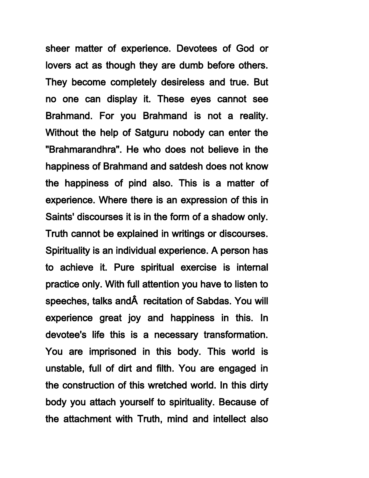sheer matter of experience. Devotees of God or lovers act as though they are dumb before others. They become completely desireless and true. But no one can display it. These eyes cannot see Brahmand. For you Brahmand is not a reality. Without the help of Satguru nobody can enter the "Brahmarandhra". He who does not believe in the happiness of Brahmand and satdesh does not know the happiness of pind also. This is a matter of experience. Where there is an expression of this in Saints' discourses it is in the form of a shadow only. Truth cannot be explained in writings or discourses. Spirituality is an individual experience. A person has to achieve it. Pure spiritual exercise is internal practice only. With full attention you have to listen to speeches, talks and recitation of Sabdas. You will experience great joy and happiness in this. In devotee's life this is a necessary transformation. You are imprisoned in this body. This world is unstable, full of dirt and filth. You are engaged in the construction of this wretched world. In this dirty body you attach yourself to spirituality. Because of the attachment with Truth, mind and intellect also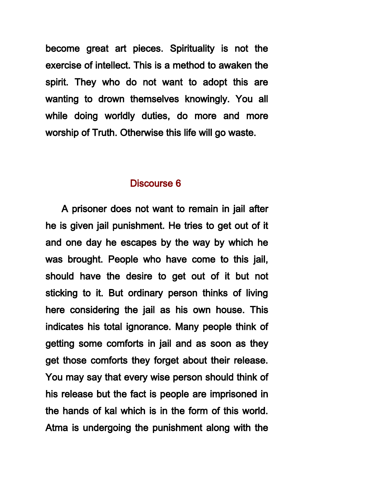become great art pieces. Spirituality is not the exercise of intellect. This is a method to awaken the spirit. They who do not want to adopt this are wanting to drown themselves knowingly. You all while doing worldly duties, do more and more worship of Truth. Otherwise this life will go waste.

#### Discourse 6

 A prisoner does not want to remain in jail after he is given jail punishment. He tries to get out of it and one day he escapes by the way by which he was brought. People who have come to this jail, should have the desire to get out of it but not sticking to it. But ordinary person thinks of living here considering the jail as his own house. This indicates his total ignorance. Many people think of getting some comforts in jail and as soon as they get those comforts they forget about their release. You may say that every wise person should think of his release but the fact is people are imprisoned in the hands of kal which is in the form of this world. Atma is undergoing the punishment along with the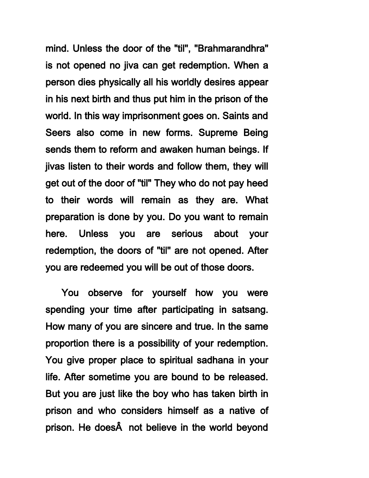mind. Unless the door of the "til", "Brahmarandhra" is not opened no jiva can get redemption. When a person dies physically all his worldly desires appear in his next birth and thus put him in the prison of the world. In this way imprisonment goes on. Saints and Seers also come in new forms. Supreme Being sends them to reform and awaken human beings. If jivas listen to their words and follow them, they will get out of the door of "til" They who do not pay heed to their words will remain as they are. What preparation is done by you. Do you want to remain here. Unless you are serious about your redemption, the doors of "til" are not opened. After you are redeemed you will be out of those doors.

 You observe for yourself how you were spending your time after participating in satsang. How many of you are sincere and true. In the same proportion there is a possibility of your redemption. You give proper place to spiritual sadhana in your life. After sometime you are bound to be released. But you are just like the boy who has taken birth in prison and who considers himself as a native of prison. He does $\hat{A}$  not believe in the world beyond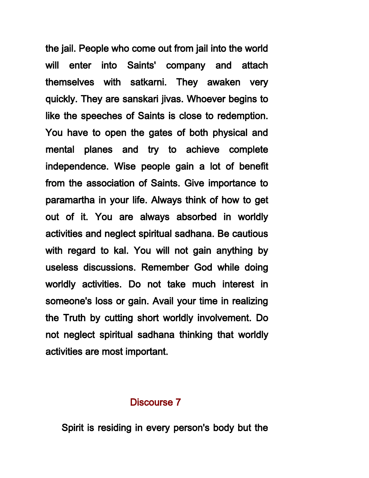the jail. People who come out from jail into the world will enter into Saints' company and attach themselves with satkarni. They awaken very quickly. They are sanskari jivas. Whoever begins to like the speeches of Saints is close to redemption. You have to open the gates of both physical and mental planes and try to achieve complete independence. Wise people gain a lot of benefit from the association of Saints. Give importance to paramartha in your life. Always think of how to get out of it. You are always absorbed in worldly activities and neglect spiritual sadhana. Be cautious with regard to kal. You will not gain anything by useless discussions. Remember God while doing worldly activities. Do not take much interest in someone's loss or gain. Avail your time in realizing the Truth by cutting short worldly involvement. Do not neglect spiritual sadhana thinking that worldly activities are most important.

#### Discourse 7

Spirit is residing in every person's body but the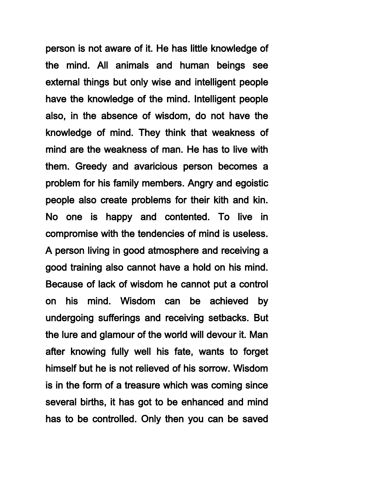person is not aware of it. He has little knowledge of the mind. All animals and human beings see external things but only wise and intelligent people have the knowledge of the mind. Intelligent people also, in the absence of wisdom, do not have the knowledge of mind. They think that weakness of mind are the weakness of man. He has to live with them. Greedy and avaricious person becomes a problem for his family members. Angry and egoistic people also create problems for their kith and kin. No one is happy and contented. To live in compromise with the tendencies of mind is useless. A person living in good atmosphere and receiving a good training also cannot have a hold on his mind. Because of lack of wisdom he cannot put a control on his mind. Wisdom can be achieved by undergoing sufferings and receiving setbacks. But the lure and glamour of the world will devour it. Man after knowing fully well his fate, wants to forget himself but he is not relieved of his sorrow. Wisdom is in the form of a treasure which was coming since several births, it has got to be enhanced and mind has to be controlled. Only then you can be saved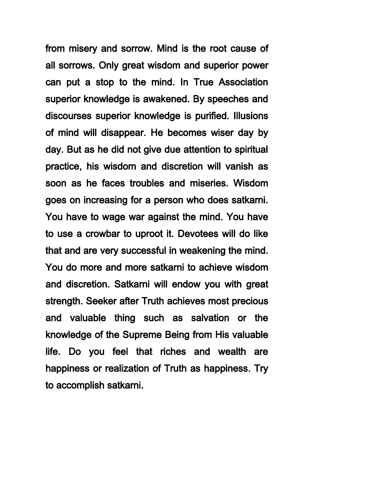from misery and sorrow. Mind is the root cause of all sorrows. Only great wisdom and superior power can put a stop to the mind. In True Association superior knowledge is awakened. By speeches and discourses superior knowledge is purified. Illusions of mind will disappear. He becomes wiser day by day. But as he did not give due attention to spiritual practice, his wisdom and discretion will vanish as soon as he faces troubles and miseries. Wisdom goes on increasing for a person who does satkarni. You have to wage war against the mind. You have to use a crowbar to uproot it. Devotees will do like that and are very successful in weakening the mind. You do more and more satkarni to achieve wisdom and discretion. Satkarni will endow you with great strength. Seeker after Truth achieves most precious and valuable thing such as salvation or the knowledge of the Supreme Being from His valuable life. Do you feel that riches and wealth are happiness or realization of Truth as happiness. Try to accomplish satkarni.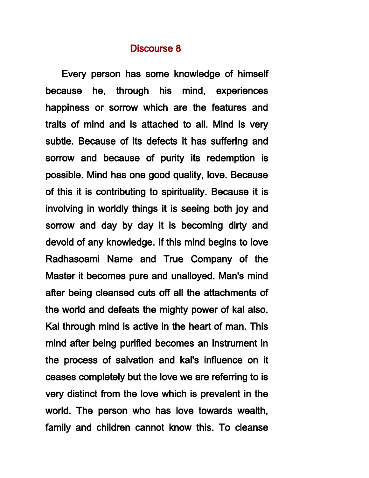#### Discourse 8

 Every person has some knowledge of himself because he, through his mind, experiences happiness or sorrow which are the features and traits of mind and is attached to all. Mind is very subtle. Because of its defects it has suffering and sorrow and because of purity its redemption is possible. Mind has one good quality, love. Because of this it is contributing to spirituality. Because it is involving in worldly things it is seeing both joy and sorrow and day by day it is becoming dirty and devoid of any knowledge. If this mind begins to love Radhasoami Name and True Company of the Master it becomes pure and unalloyed. Man's mind after being cleansed cuts off all the attachments of the world and defeats the mighty power of kal also. Kal through mind is active in the heart of man. This mind after being purified becomes an instrument in the process of salvation and kal's influence on it ceases completely but the love we are referring to is very distinct from the love which is prevalent in the world. The person who has love towards wealth, family and children cannot know this. To cleanse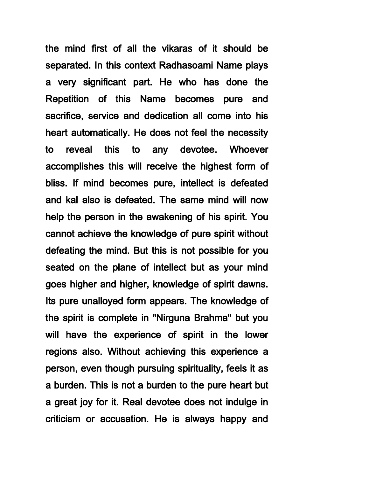the mind first of all the vikaras of it should be separated. In this context Radhasoami Name plays a very significant part. He who has done the Repetition of this Name becomes pure and sacrifice, service and dedication all come into his heart automatically. He does not feel the necessity to reveal this to any devotee. Whoever accomplishes this will receive the highest form of bliss. If mind becomes pure, intellect is defeated and kal also is defeated. The same mind will now help the person in the awakening of his spirit. You cannot achieve the knowledge of pure spirit without defeating the mind. But this is not possible for you seated on the plane of intellect but as your mind goes higher and higher, knowledge of spirit dawns. Its pure unalloyed form appears. The knowledge of the spirit is complete in "Nirguna Brahma" but you will have the experience of spirit in the lower regions also. Without achieving this experience a person, even though pursuing spirituality, feels it as a burden. This is not a burden to the pure heart but a great joy for it. Real devotee does not indulge in criticism or accusation. He is always happy and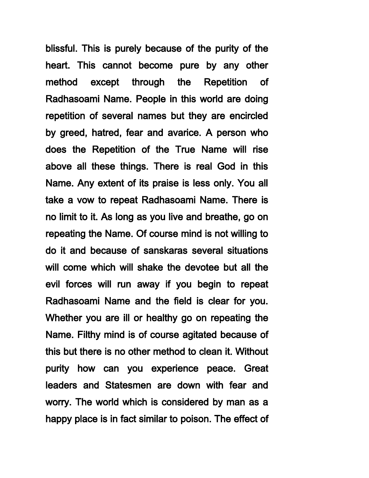blissful. This is purely because of the purity of the heart. This cannot become pure by any other method except through the Repetition of Radhasoami Name. People in this world are doing repetition of several names but they are encircled by greed, hatred, fear and avarice. A person who does the Repetition of the True Name will rise above all these things. There is real God in this Name. Any extent of its praise is less only. You all take a vow to repeat Radhasoami Name. There is no limit to it. As long as you live and breathe, go on repeating the Name. Of course mind is not willing to do it and because of sanskaras several situations will come which will shake the devotee but all the evil forces will run away if you begin to repeat Radhasoami Name and the field is clear for you. Whether you are ill or healthy go on repeating the Name. Filthy mind is of course agitated because of this but there is no other method to clean it. Without purity how can you experience peace. Great leaders and Statesmen are down with fear and worry. The world which is considered by man as a happy place is in fact similar to poison. The effect of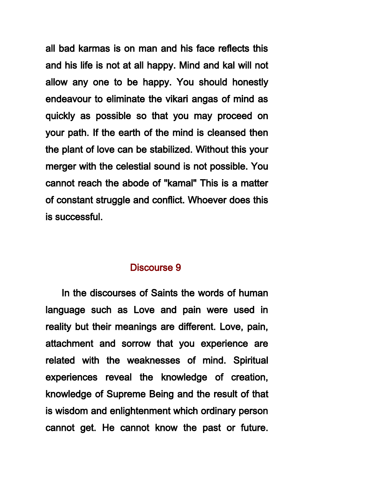all bad karmas is on man and his face reflects this and his life is not at all happy. Mind and kal will not allow any one to be happy. You should honestly endeavour to eliminate the vikari angas of mind as quickly as possible so that you may proceed on your path. If the earth of the mind is cleansed then the plant of love can be stabilized. Without this your merger with the celestial sound is not possible. You cannot reach the abode of "kamal" This is a matter of constant struggle and conflict. Whoever does this is successful.

# Discourse 9

 In the discourses of Saints the words of human language such as Love and pain were used in reality but their meanings are different. Love, pain, attachment and sorrow that you experience are related with the weaknesses of mind. Spiritual experiences reveal the knowledge of creation, knowledge of Supreme Being and the result of that is wisdom and enlightenment which ordinary person cannot get. He cannot know the past or future.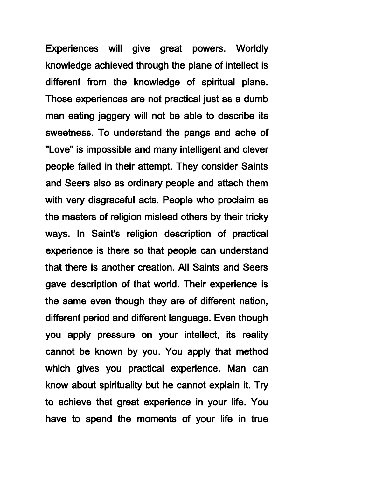Experiences will give great powers. Worldly knowledge achieved through the plane of intellect is different from the knowledge of spiritual plane. Those experiences are not practical just as a dumb man eating jaggery will not be able to describe its sweetness. To understand the pangs and ache of "Love" is impossible and many intelligent and clever people failed in their attempt. They consider Saints and Seers also as ordinary people and attach them with very disgraceful acts. People who proclaim as the masters of religion mislead others by their tricky ways. In Saint's religion description of practical experience is there so that people can understand that there is another creation. All Saints and Seers gave description of that world. Their experience is the same even though they are of different nation, different period and different language. Even though you apply pressure on your intellect, its reality cannot be known by you. You apply that method which gives you practical experience. Man can know about spirituality but he cannot explain it. Try to achieve that great experience in your life. You have to spend the moments of your life in true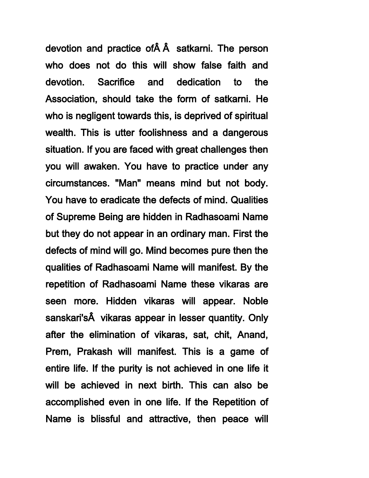devotion and practice of  $\hat{A}$  satkarni. The person who does not do this will show false faith and devotion. Sacrifice and dedication to the Association, should take the form of satkarni. He who is negligent towards this, is deprived of spiritual wealth. This is utter foolishness and a dangerous situation. If you are faced with great challenges then you will awaken. You have to practice under any circumstances. "Man" means mind but not body. You have to eradicate the defects of mind. Qualities of Supreme Being are hidden in Radhasoami Name but they do not appear in an ordinary man. First the defects of mind will go. Mind becomes pure then the qualities of Radhasoami Name will manifest. By the repetition of Radhasoami Name these vikaras are seen more. Hidden vikaras will appear. Noble sanskari's vikaras appear in lesser quantity. Only after the elimination of vikaras, sat, chit, Anand, Prem, Prakash will manifest. This is a game of entire life. If the purity is not achieved in one life it will be achieved in next birth. This can also be accomplished even in one life. If the Repetition of Name is blissful and attractive, then peace will